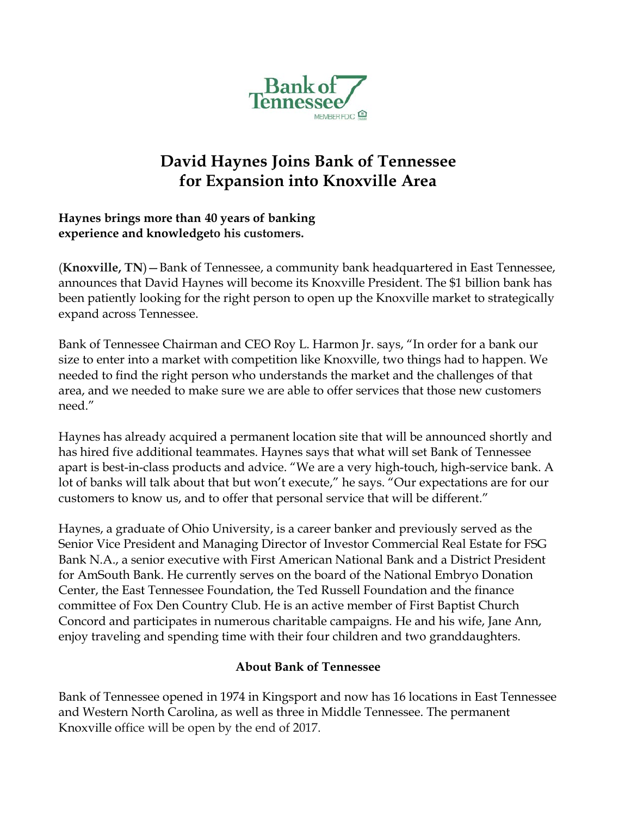

## **David Haynes Joins Bank of Tennessee for Expansion into Knoxville Area**

## **Haynes brings more than 40 years of banking experience and knowledgeto his customers.**

(**Knoxville, TN**)—Bank of Tennessee, a community bank headquartered in East Tennessee, announces that David Haynes will become its Knoxville President. The \$1 billion bank has been patiently looking for the right person to open up the Knoxville market to strategically expand across Tennessee.

Bank of Tennessee Chairman and CEO Roy L. Harmon Jr. says, "In order for a bank our size to enter into a market with competition like Knoxville, two things had to happen. We needed to find the right person who understands the market and the challenges of that area, and we needed to make sure we are able to offer services that those new customers need."

Haynes has already acquired a permanent location site that will be announced shortly and has hired five additional teammates. Haynes says that what will set Bank of Tennessee apart is best-in-class products and advice. "We are a very high-touch, high-service bank. A lot of banks will talk about that but won't execute," he says. "Our expectations are for our customers to know us, and to offer that personal service that will be different."

Haynes, a graduate of Ohio University, is a career banker and previously served as the Senior Vice President and Managing Director of Investor Commercial Real Estate for FSG Bank N.A., a senior executive with First American National Bank and a District President for AmSouth Bank. He currently serves on the board of the National Embryo Donation Center, the East Tennessee Foundation, the Ted Russell Foundation and the finance committee of Fox Den Country Club. He is an active member of First Baptist Church Concord and participates in numerous charitable campaigns. He and his wife, Jane Ann, enjoy traveling and spending time with their four children and two granddaughters.

## **About Bank of Tennessee**

Bank of Tennessee opened in 1974 in Kingsport and now has 16 locations in East Tennessee and Western North Carolina, as well as three in Middle Tennessee. The permanent Knoxville office will be open by the end of 2017.